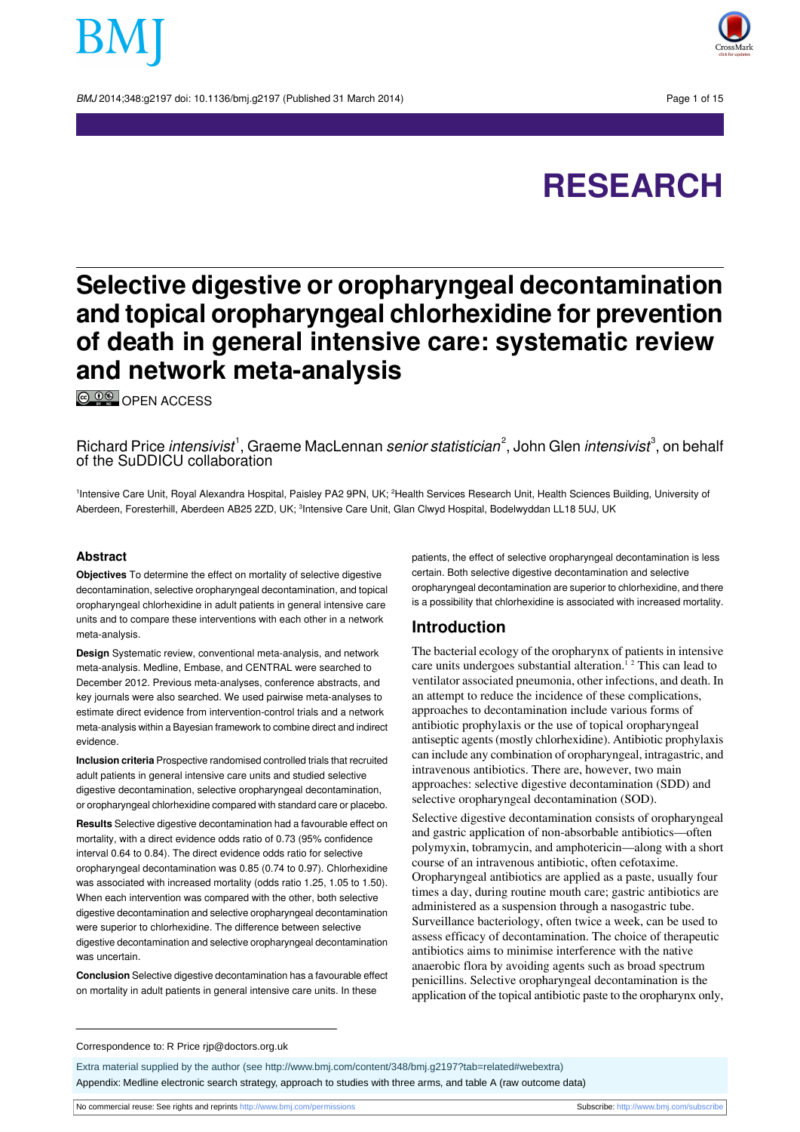BMJ 2014:348:q2197 doi: 10.1136/bmi.q2197 (Published 31 March 2014) Page 1 of 15



# **RESEARCH**

## **Selective digestive or oropharyngeal decontamination and topical oropharyngeal chlorhexidine for prevention of death in general intensive care: systematic review and network meta-analysis**

**© 00** OPEN [ACCESS](http://creativecommons.org/licenses/by-nc/3.0/)

Richard Price *intensivist*<sup>1</sup>, Graeme MacLennan *senior statistician*<sup>2</sup>, John Glen *intensivist*<sup>3</sup>, on behalf of the SuDDICU collaboration

<sup>1</sup>Intensive Care Unit, Royal Alexandra Hospital, Paisley PA2 9PN, UK; <sup>2</sup>Health Services Research Unit, Health Sciences Building, University of Aberdeen, Foresterhill, Aberdeen AB25 2ZD, UK; <sup>3</sup>Intensive Care Unit, Glan Clwyd Hospital, Bodelwyddan LL18 5UJ, UK

#### **Abstract**

**Objectives** To determine the effect on mortality of selective digestive decontamination, selective oropharyngeal decontamination, and topical oropharyngeal chlorhexidine in adult patients in general intensive care units and to compare these interventions with each other in a network meta-analysis.

**Design** Systematic review, conventional meta-analysis, and network meta-analysis. Medline, Embase, and CENTRAL were searched to December 2012. Previous meta-analyses, conference abstracts, and key journals were also searched. We used pairwise meta-analyses to estimate direct evidence from intervention-control trials and a network meta-analysis within a Bayesian framework to combine direct and indirect evidence.

**Inclusion criteria** Prospective randomised controlled trials that recruited adult patients in general intensive care units and studied selective digestive decontamination, selective oropharyngeal decontamination, or oropharyngeal chlorhexidine compared with standard care or placebo.

**Results** Selective digestive decontamination had a favourable effect on mortality, with a direct evidence odds ratio of 0.73 (95% confidence interval 0.64 to 0.84). The direct evidence odds ratio for selective oropharyngeal decontamination was 0.85 (0.74 to 0.97). Chlorhexidine was associated with increased mortality (odds ratio 1.25, 1.05 to 1.50). When each intervention was compared with the other, both selective digestive decontamination and selective oropharyngeal decontamination were superior to chlorhexidine. The difference between selective digestive decontamination and selective oropharyngeal decontamination was uncertain.

**Conclusion** Selective digestive decontamination has a favourable effect on mortality in adult patients in general intensive care units. In these

patients, the effect of selective oropharyngeal decontamination is less certain. Both selective digestive decontamination and selective oropharyngeal decontamination are superior to chlorhexidine, and there is a possibility that chlorhexidine is associated with increased mortality.

### **Introduction**

The bacterial ecology of the oropharynx of patients in intensive care units undergoes substantial alteration.<sup>12</sup> This can lead to ventilator associated pneumonia, other infections, and death. In an attempt to reduce the incidence of these complications, approaches to decontamination include various forms of antibiotic prophylaxis or the use of topical oropharyngeal antiseptic agents(mostly chlorhexidine). Antibiotic prophylaxis can include any combination of oropharyngeal, intragastric, and intravenous antibiotics. There are, however, two main approaches: selective digestive decontamination (SDD) and selective oropharyngeal decontamination (SOD).

Selective digestive decontamination consists of oropharyngeal and gastric application of non-absorbable antibiotics—often polymyxin, tobramycin, and amphotericin—along with a short course of an intravenous antibiotic, often cefotaxime. Oropharyngeal antibiotics are applied as a paste, usually four times a day, during routine mouth care; gastric antibiotics are administered as a suspension through a nasogastric tube. Surveillance bacteriology, often twice a week, can be used to assess efficacy of decontamination. The choice of therapeutic antibiotics aims to minimise interference with the native anaerobic flora by avoiding agents such as broad spectrum penicillins. Selective oropharyngeal decontamination is the application of the topical antibiotic paste to the oropharynx only,

#### Correspondence to: R Price rjp@doctors.org.uk

Extra material supplied by the author (see [http://www.bmj.com/content/348/bmj.g2197?tab=related#webextra\)](http://www.bmj.com/content/348/bmj.g2197?tab=related#webextra) Appendix: Medline electronic search strategy, approach to studies with three arms, and table A (raw outcome data)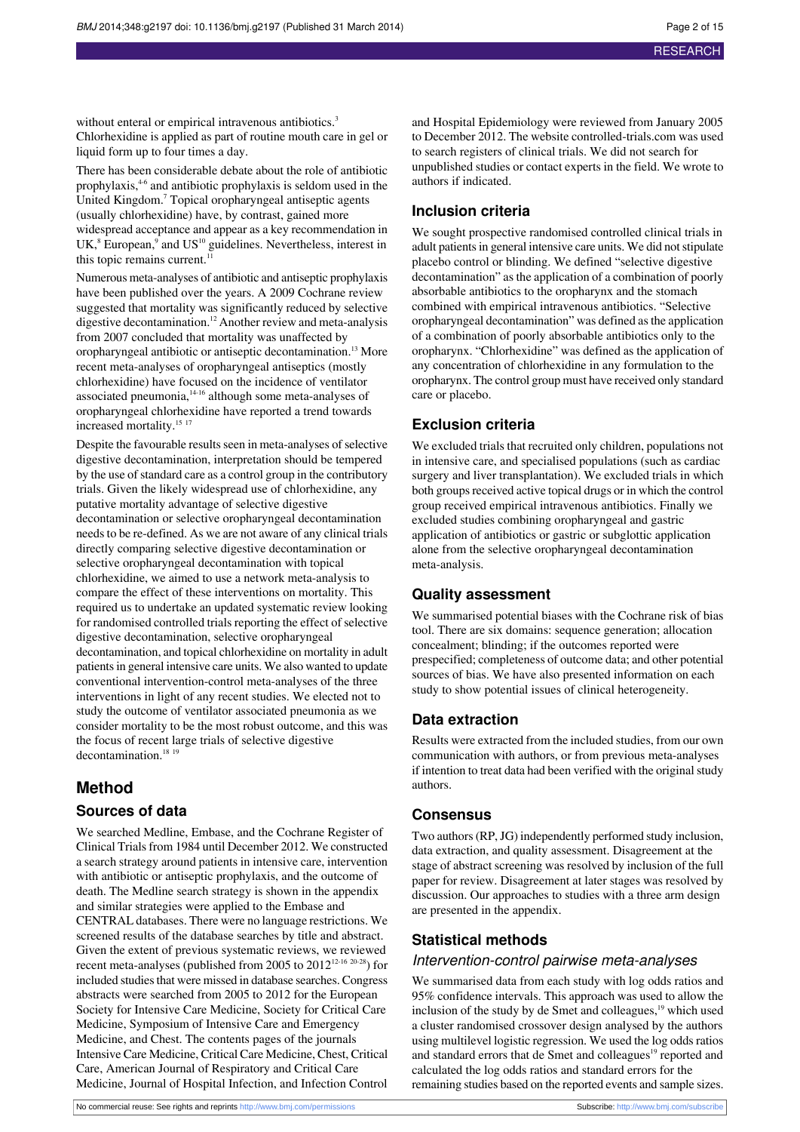without enteral or empirical intravenous antibiotics.<sup>3</sup> Chlorhexidine is applied as part of routine mouth care in gel or liquid form up to four times a day.

There has been considerable debate about the role of antibiotic prophylaxis,<sup>46</sup> and antibiotic prophylaxis is seldom used in the United Kingdom.<sup>7</sup> Topical oropharyngeal antiseptic agents (usually chlorhexidine) have, by contrast, gained more widespread acceptance and appear as a key recommendation in  $UK$ <sup>8</sup> European,<sup>9</sup> and  $US^{10}$  guidelines. Nevertheless, interest in this topic remains current. $11$ 

Numerous meta-analyses of antibiotic and antiseptic prophylaxis have been published over the years. A 2009 Cochrane review suggested that mortality was significantly reduced by selective digestive decontamination.<sup>12</sup> Another review and meta-analysis from 2007 concluded that mortality was unaffected by oropharyngeal antibiotic or antiseptic decontamination.<sup>13</sup> More recent meta-analyses of oropharyngeal antiseptics (mostly chlorhexidine) have focused on the incidence of ventilator associated pneumonia, $14-16$  although some meta-analyses of oropharyngeal chlorhexidine have reported a trend towards increased mortality.<sup>15 17</sup>

Despite the favourable results seen in meta-analyses of selective digestive decontamination, interpretation should be tempered by the use of standard care as a control group in the contributory trials. Given the likely widespread use of chlorhexidine, any putative mortality advantage of selective digestive decontamination or selective oropharyngeal decontamination needs to be re-defined. As we are not aware of any clinical trials directly comparing selective digestive decontamination or selective oropharyngeal decontamination with topical chlorhexidine, we aimed to use a network meta-analysis to compare the effect of these interventions on mortality. This required us to undertake an updated systematic review looking for randomised controlled trials reporting the effect of selective digestive decontamination, selective oropharyngeal decontamination, and topical chlorhexidine on mortality in adult patients in general intensive care units. We also wanted to update conventional intervention-control meta-analyses of the three interventions in light of any recent studies. We elected not to study the outcome of ventilator associated pneumonia as we consider mortality to be the most robust outcome, and this was the focus of recent large trials of selective digestive decontamination.<sup>18</sup><sup>19</sup>

## **Method**

#### **Sources of data**

We searched Medline, Embase, and the Cochrane Register of Clinical Trials from 1984 until December 2012. We constructed a search strategy around patients in intensive care, intervention with antibiotic or antiseptic prophylaxis, and the outcome of death. The Medline search strategy is shown in the appendix and similar strategies were applied to the Embase and CENTRAL databases. There were no language restrictions. We screened results of the database searches by title and abstract. Given the extent of previous systematic reviews, we reviewed recent meta-analyses (published from 2005 to 201212-16 20-28) for included studies that were missed in database searches. Congress abstracts were searched from 2005 to 2012 for the European Society for Intensive Care Medicine, Society for Critical Care Medicine, Symposium of Intensive Care and Emergency Medicine, and Chest. The contents pages of the journals Intensive Care Medicine, Critical Care Medicine, Chest, Critical Care, American Journal of Respiratory and Critical Care Medicine, Journal of Hospital Infection, and Infection Control

and Hospital Epidemiology were reviewed from January 2005 to December 2012. The website controlled-trials.com was used to search registers of clinical trials. We did not search for unpublished studies or contact experts in the field. We wrote to authors if indicated.

#### **Inclusion criteria**

We sought prospective randomised controlled clinical trials in adult patients in general intensive care units. We did not stipulate placebo control or blinding. We defined "selective digestive decontamination" as the application of a combination of poorly absorbable antibiotics to the oropharynx and the stomach combined with empirical intravenous antibiotics. "Selective oropharyngeal decontamination" was defined asthe application of a combination of poorly absorbable antibiotics only to the oropharynx. "Chlorhexidine" was defined as the application of any concentration of chlorhexidine in any formulation to the oropharynx. The control group must have received only standard care or placebo.

#### **Exclusion criteria**

We excluded trials that recruited only children, populations not in intensive care, and specialised populations (such as cardiac surgery and liver transplantation). We excluded trials in which both groups received active topical drugs or in which the control group received empirical intravenous antibiotics. Finally we excluded studies combining oropharyngeal and gastric application of antibiotics or gastric or subglottic application alone from the selective oropharyngeal decontamination meta-analysis.

#### **Quality assessment**

We summarised potential biases with the Cochrane risk of bias tool. There are six domains: sequence generation; allocation concealment; blinding; if the outcomes reported were prespecified; completeness of outcome data; and other potential sources of bias. We have also presented information on each study to show potential issues of clinical heterogeneity.

#### **Data extraction**

Results were extracted from the included studies, from our own communication with authors, or from previous meta-analyses if intention to treat data had been verified with the original study authors.

#### **Consensus**

Two authors (RP, JG) independently performed study inclusion, data extraction, and quality assessment. Disagreement at the stage of abstract screening was resolved by inclusion of the full paper for review. Disagreement at later stages was resolved by discussion. Our approaches to studies with a three arm design are presented in the appendix.

#### **Statistical methods**

#### Intervention-control pairwise meta-analyses

We summarised data from each study with log odds ratios and 95% confidence intervals. This approach was used to allow the inclusion of the study by de Smet and colleagues,<sup>19</sup> which used a cluster randomised crossover design analysed by the authors using multilevel logistic regression. We used the log oddsratios and standard errors that de Smet and colleagues<sup>19</sup> reported and calculated the log odds ratios and standard errors for the remaining studies based on the reported events and sample sizes.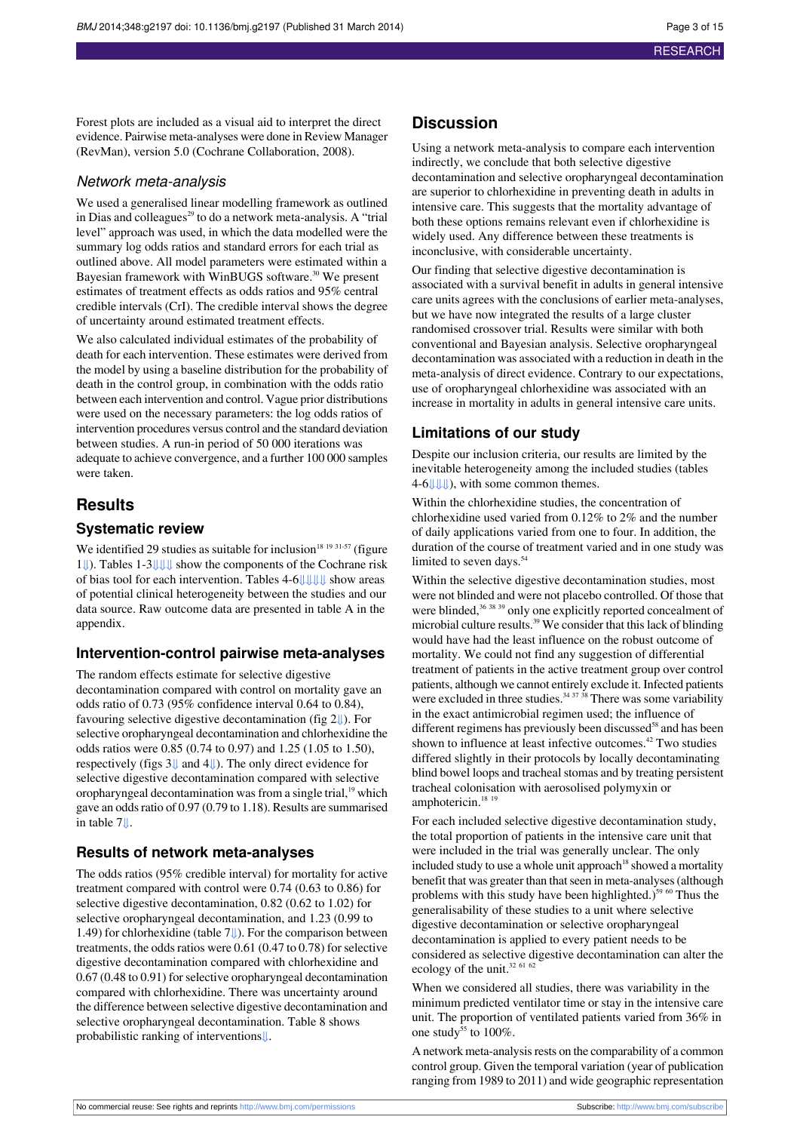Forest plots are included as a visual aid to interpret the direct evidence. Pairwise meta-analyses were done in Review Manager (RevMan), version 5.0 (Cochrane Collaboration, 2008).

#### Network meta-analysis

We used a generalised linear modelling framework as outlined in Dias and colleagues<sup>29</sup> to do a network meta-analysis. A "trial level" approach was used, in which the data modelled were the summary log odds ratios and standard errors for each trial as outlined above. All model parameters were estimated within a Bayesian framework with WinBUGS software.<sup>30</sup> We present estimates of treatment effects as odds ratios and 95% central credible intervals (CrI). The credible interval shows the degree of uncertainty around estimated treatment effects.

We also calculated individual estimates of the probability of death for each intervention. These estimates were derived from the model by using a baseline distribution for the probability of death in the control group, in combination with the odds ratio between each intervention and control. Vague prior distributions were used on the necessary parameters: the log odds ratios of intervention procedures versus control and the standard deviation between studies. A run-in period of 50 000 iterations was adequate to achieve convergence, and a further 100 000 samples were taken.

#### **Results**

#### **Systematic review**

We identified 29 studies as suitable for inclusion<sup>18 19 31-57</sup> (figure [1⇓](#page-13-0)). Tables 1-[3⇓](#page-5-0)[⇓](#page-6-0)[⇓](#page-7-0) show the components of the Cochrane risk of bias tool for each intervention. Tables 4-[6⇓](#page-6-0)[⇓](#page-8-0)[⇓](#page-9-0)[⇓](#page-10-0) show areas of potential clinical heterogeneity between the studies and our data source. Raw outcome data are presented in table A in the appendix.

#### **Intervention-control pairwise meta-analyses**

The random effects estimate for selective digestive decontamination compared with control on mortality gave an odds ratio of 0.73 (95% confidence interval 0.64 to 0.84), favouring selective digestive decontamination (fig 2[⇓\)](#page-13-1). For selective oropharyngeal decontamination and chlorhexidine the odds ratios were 0.85 (0.74 to 0.97) and 1.25 (1.05 to 1.50), respectively (figs 3[⇓](#page-14-0) and 4[⇓\)](#page-14-1). The only direct evidence for selective digestive decontamination compared with selective oropharyngeal decontamination was from a single trial,<sup>19</sup> which gave an oddsratio of 0.97 (0.79 to 1.18). Results are summarised in table [7⇓](#page-11-0).

#### **Results of network meta-analyses**

The odds ratios (95% credible interval) for mortality for active treatment compared with control were 0.74 (0.63 to 0.86) for selective digestive decontamination, 0.82 (0.62 to 1.02) for selective oropharyngeal decontamination, and 1.23 (0.99 to 1.49) for chlorhexidine (table 7[⇓\)](#page-11-0). For the comparison between treatments, the odds ratios were  $0.61$  ( $0.47$  to  $0.78$ ) for selective digestive decontamination compared with chlorhexidine and 0.67 (0.48 to 0.91) for selective oropharyngeal decontamination compared with chlorhexidine. There was uncertainty around the difference between selective digestive decontamination and selective oropharyngeal decontamination. Table 8 shows probabilistic ranking of interventions[⇓](#page-12-0).

#### **Discussion**

Using a network meta-analysis to compare each intervention indirectly, we conclude that both selective digestive decontamination and selective oropharyngeal decontamination are superior to chlorhexidine in preventing death in adults in intensive care. This suggests that the mortality advantage of both these options remains relevant even if chlorhexidine is widely used. Any difference between these treatments is inconclusive, with considerable uncertainty.

Our finding that selective digestive decontamination is associated with a survival benefit in adults in general intensive care units agrees with the conclusions of earlier meta-analyses, but we have now integrated the results of a large cluster randomised crossover trial. Results were similar with both conventional and Bayesian analysis. Selective oropharyngeal decontamination was associated with a reduction in death in the meta-analysis of direct evidence. Contrary to our expectations, use of oropharyngeal chlorhexidine was associated with an increase in mortality in adults in general intensive care units.

#### **Limitations of our study**

Despite our inclusion criteria, our results are limited by the inevitable heterogeneity among the included studies (tables 4-[6⇓](#page-8-0)[⇓](#page-9-0)[⇓](#page-10-0)), with some common themes.

Within the chlorhexidine studies, the concentration of chlorhexidine used varied from 0.12% to 2% and the number of daily applications varied from one to four. In addition, the duration of the course of treatment varied and in one study was limited to seven days.<sup>54</sup>

Within the selective digestive decontamination studies, most were not blinded and were not placebo controlled. Of those that were blinded,<sup>36</sup> 38 39 only one explicitly reported concealment of microbial culture results.<sup>39</sup> We consider that thislack of blinding would have had the least influence on the robust outcome of mortality. We could not find any suggestion of differential treatment of patients in the active treatment group over control patients, although we cannot entirely exclude it. Infected patients were excluded in three studies. $34\frac{37}{38}$  There was some variability in the exact antimicrobial regimen used; the influence of different regimens has previously been discussed $58$  and has been shown to influence at least infective outcomes.<sup>42</sup> Two studies differed slightly in their protocols by locally decontaminating blind bowel loops and tracheal stomas and by treating persistent tracheal colonisation with aerosolised polymyxin or amphotericin.<sup>18</sup><sup>19</sup>

For each included selective digestive decontamination study, the total proportion of patients in the intensive care unit that were included in the trial was generally unclear. The only included study to use a whole unit approach<sup>18</sup> showed a mortality benefit that was greater than that seen in meta-analyses (although problems with this study have been highlighted.)<sup>59 60</sup> Thus the generalisability of these studies to a unit where selective digestive decontamination or selective oropharyngeal decontamination is applied to every patient needs to be considered as selective digestive decontamination can alter the ecology of the unit.<sup>32 61 62</sup>

When we considered all studies, there was variability in the minimum predicted ventilator time or stay in the intensive care unit. The proportion of ventilated patients varied from 36% in one study $\frac{1}{25}$  to 100%.

A network meta-analysis rests on the comparability of a common control group. Given the temporal variation (year of publication ranging from 1989 to 2011) and wide geographic representation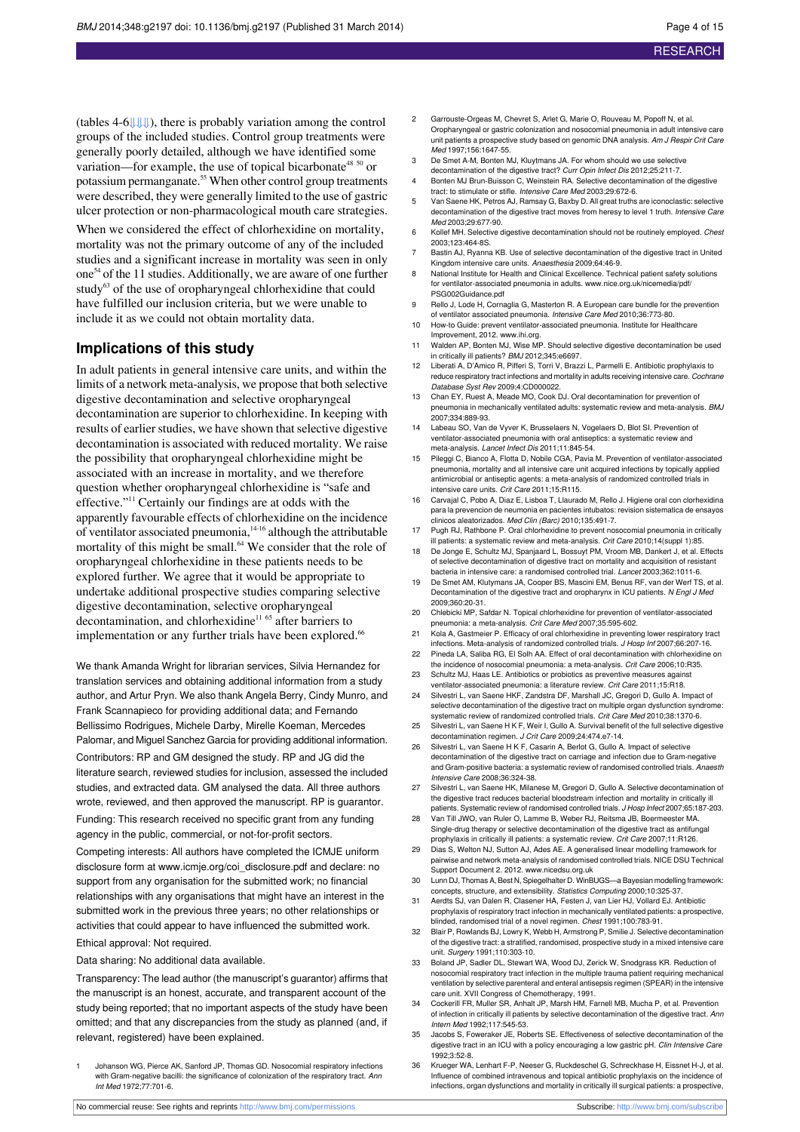(tables 4-[6⇓](#page-8-0)[⇓](#page-9-0)[⇓\)](#page-10-0), there is probably variation among the control groups of the included studies. Control group treatments were generally poorly detailed, although we have identified some variation—for example, the use of topical bicarbonate<sup>48 50</sup> or potassium permanganate.<sup>55</sup> When other control group treatments were described, they were generally limited to the use of gastric ulcer protection or non-pharmacological mouth care strategies.

When we considered the effect of chlorhexidine on mortality, mortality was not the primary outcome of any of the included studies and a significant increase in mortality was seen in only one<sup>54</sup> of the 11 studies. Additionally, we are aware of one further study<sup>63</sup> of the use of oropharyngeal chlorhexidine that could have fulfilled our inclusion criteria, but we were unable to include it as we could not obtain mortality data.

#### **Implications of this study**

In adult patients in general intensive care units, and within the limits of a network meta-analysis, we propose that both selective digestive decontamination and selective oropharyngeal decontamination are superior to chlorhexidine. In keeping with results of earlier studies, we have shown that selective digestive decontamination is associated with reduced mortality. We raise the possibility that oropharyngeal chlorhexidine might be associated with an increase in mortality, and we therefore question whether oropharyngeal chlorhexidine is "safe and effective."<sup>11</sup> Certainly our findings are at odds with the apparently favourable effects of chlorhexidine on the incidence of ventilator associated pneumonia,<sup>14-16</sup> although the attributable mortality of this might be small.<sup>64</sup> We consider that the role of oropharyngeal chlorhexidine in these patients needs to be explored further. We agree that it would be appropriate to undertake additional prospective studies comparing selective digestive decontamination, selective oropharyngeal decontamination, and chlorhexidine<sup>11 65</sup> after barriers to implementation or any further trials have been explored.<sup>66</sup>

We thank Amanda Wright for librarian services, Silvia Hernandez for translation services and obtaining additional information from a study author, and Artur Pryn. We also thank Angela Berry, Cindy Munro, and Frank Scannapieco for providing additional data; and Fernando Bellissimo Rodrigues, Michele Darby, Mirelle Koeman, Mercedes Palomar, and Miguel Sanchez Garcia for providing additional information. Contributors: RP and GM designed the study. RP and JG did the literature search, reviewed studies for inclusion, assessed the included studies, and extracted data. GM analysed the data. All three authors wrote, reviewed, and then approved the manuscript. RP is guarantor.

Funding: This research received no specific grant from any funding agency in the public, commercial, or not-for-profit sectors.

Competing interests: All authors have completed the ICMJE uniform disclosure form at [www.icmje.org/coi\\_disclosure.pdf](http://www.icmje.org/coi_disclosure.pdf) and declare: no support from any organisation for the submitted work; no financial relationships with any organisations that might have an interest in the submitted work in the previous three years; no other relationships or activities that could appear to have influenced the submitted work. Ethical approval: Not required.

Data sharing: No additional data available.

Transparency: The lead author (the manuscript's guarantor) affirms that the manuscript is an honest, accurate, and transparent account of the study being reported; that no important aspects of the study have been omitted; and that any discrepancies from the study as planned (and, if relevant, registered) have been explained.

1 Johanson WG, Pierce AK, Sanford JP, Thomas GD. Nosocomial respiratory infections with Gram-negative bacilli: the significance of colonization of the respiratory tract. Ann Int Med 1972;77:701-6.

- 2 Garrouste-Orgeas M, Chevret S, Arlet G, Marie O, Rouveau M, Popoff N, et al. Oropharyngeal or gastric colonization and nosocomial pneumonia in adult intensive care unit patients a prospective study based on genomic DNA analysis. Am J Respir Crit Care Med 1997;156:1647-55.
- 3 De Smet A-M, Bonten MJ, Kluytmans JA. For whom should we use selective
- decontamination of the digestive tract? Curr Opin Infect Dis 2012;25:211-7. 4 Bonten MJ Brun-Buisson C, Weinstein RA. Selective decontamination of the digestive
- tract: to stimulate or stifle. Intensive Care Med 2003;29:672-6. 5 Van Saene HK, Petros AJ, Ramsay G, Baxby D. All great truths are iconoclastic: selective decontamination of the digestive tract moves from heresy to level 1 truth. Intensive Care Med 2003;29:677-90.
- 6 Kollef MH. Selective digestive decontamination should not be routinely employed. Chest 2003;123:464-8S.
- 7 Bastin AJ, Ryanna KB. Use of selective decontamination of the digestive tract in United Kingdom intensive care units. Anaesthesia 2009;64:46-9.
- 8 National Institute for Health and Clinical Excellence. Technical patient safety solutions for ventilator-associated pneumonia in adults. [www.nice.org.uk/nicemedia/pdf/](http://www.nice.org.uk/nicemedia/pdf/PSG002Guidance.pdf) [PSG002Guidance.pdf](http://www.nice.org.uk/nicemedia/pdf/PSG002Guidance.pdf)
- 9 Rello J, Lode H, Cornaglia G, Masterton R. A European care bundle for the prevention of ventilator associated pneumonia. Intensive Care Med 2010;36:773-80.
- 10 How-to Guide: prevent ventilator-associated pneumonia. Institute for Healthcar Improvement, 2012. [www.ihi.org.](http://www.ihi.org)
- 11 Walden AP, Bonten MJ, Wise MP. Should selective digestive decontamination be used in critically ill patients? BMJ 2012;345:e6697.
- 12 Liberati A, D'Amico R, Pifferi S, Torri V, Brazzi L, Parmelli E. Antibiotic prophylaxis to reduce respiratory tract infections and mortality in adults receiving intensive care. Cochrane Database Syst Rev 2009;4:CD000022.
- 13 Chan EY, Ruest A, Meade MO, Cook DJ. Oral decontamination for prevention of pneumonia in mechanically ventilated adults: systematic review and meta-analysis. BMJ 2007;334:889-93.
- 14 Labeau SO, Van de Vyver K, Brusselaers N, Vogelaers D, Blot SI. Prevention of ventilator-associated pneumonia with oral antiseptics: a systematic review and meta-analysis. Lancet Infect Dis 2011;11:845-54.
- 15 Pileggi C, Bianco A, Flotta D, Nobile CGA, Pavia M. Prevention of ventilator-associated pneumonia, mortality and all intensive care unit acquired infections by topically applied antimicrobial or antiseptic agents: a meta-analysis of randomized controlled trials in intensive care units. Crit Care 2011;15:R115.
- 16 Carvajal C, Pobo A, Diaz E, Lisboa T, Llaurado M, Rello J. Higiene oral con clorhexidina para la prevencion de neumonia en pacientes intubatos: revision sistematica de ensayos .<br>clinicos aleatorizados. Med Clin (Barc) 2010;135:491-7.
- 17 Pugh RJ, Rathbone P. Oral chlorhexidine to prevent nosocomial pneumonia in critically ill patients: a systematic review and meta-analysis. Crit Care 2010;14(suppl 1):85.
- 18 De Jonge E, Schultz MJ, Spanjaard L, Bossuyt PM, Vroom MB, Dankert J, et al. Effects of selective decontamination of digestive tract on mortality and acquisition of resistant bacteria in intensive care: a randomised controlled trial. Lancet 2003;362:1011-6.
- 19 De Smet AM, Klutymans JA, Cooper BS, Mascini EM, Benus RF, van der Werf TS, et al. Decontamination of the digestive tract and oropharynx in ICU patients. N Engl J Med 2009;360:20-31.
- 20 Chlebicki MP, Safdar N. Topical chlorhexidine for prevention of ventilator-associated pneumonia: a meta-analysis. Crit Care Med 2007;35:595-602.
- 21 Kola A, Gastmeier P. Efficacy of oral chlorhexidine in preventing lower respiratory tract infections. Meta-analysis of randomized controlled trials. J Hosp Inf 2007;66:207-16.
- 22 Pineda LA, Saliba RG, El Solh AA. Effect of oral decontamination with chlorhexidine on the incidence of nosocomial pneumonia: a meta-analysis. Crit Care 2006;10:R35.
- 23 Schultz MJ, Haas LE. Antibiotics or probiotics as preventive measures ag ventilator-associated pneumonia: a literature review. Crit Care 2011;15:R18.
- 24 Silvestri L, van Saene HKF, Zandstra DF, Marshall JC, Gregori D, Gullo A. Impact of selective decontamination of the digestive tract on multiple organ dysfunction syndrome: systematic review of randomized controlled trials. Crit Care Med 2010;38:1370-6.
- 25 Silvestri L, van Saene H K F, Weir I, Gullo A. Survival benefit of the full selective digestive decontamination regimen. J Crit Care 2009;24:474.e7-14.
- 26 Silvestri L, van Saene H K F, Casarin A, Berlot G, Gullo A. Impact of selective decontamination of the digestive tract on carriage and infection due to Gram-negative and Gram-positive bacteria: a systematic review of randomised controlled trials. Anaesth Intensive Care 2008;36:324-38.
- 27 Silvestri L, van Saene HK, Milanese M, Gregori D, Gullo A. Selective decontamination of the digestive tract reduces bacterial bloodstream infection and mortality in critically ill patients. Systematic review of randomised controlled trials. J Hosp Infect 2007;65:187-203.
- 28 Van Till JWO, van Ruler O, Lamme B, Weber RJ, Reitsma JB, Boermeester MA. Single-drug therapy or selective decontamination of the digestive tract as antifungal prophylaxis in critically ill patients: a systematic review. Crit Care 2007;11:R126.
- 29 Dias S, Welton NJ, Sutton AJ, Ades AE. A generalised linear modelling framework for pairwise and network meta-analysis of randomised controlled trials. NICE DSU Technical
- Support Document 2. 2012. [www.nicedsu.org.uk](http://www.nicedsu.org.uk) 30 Lunn DJ, Thomas A, Best N, Spiegelhalter D. WinBUGS—a Bayesian modelling framework: concepts, structure, and extensibility. Statistics Computing 2000;10:325-37.
- 31 Aerdts SJ, van Dalen R, Clasener HA, Festen J, van Lier HJ, Vollard EJ. Antibiotic prophylaxis of respiratory tract infection in mechanically ventilated patients: a prospective, blinded, randomised trial of a novel regimen. Chest 1991;100:783-91.
- 32 Blair P, Rowlands BJ, Lowry K, Webb H, Armstrong P, Smilie J. Selective decontamination of the digestive tract: a stratified, randomised, prospective study in a mixed intensive care unit. Surgery 1991;110:303-10.
- 33 Boland JP, Sadler DL, Stewart WA, Wood DJ, Zerick W, Snodgrass KR. Reduction of nosocomial respiratory tract infection in the multiple trauma patient requiring mechanical ventilation by selective parenteral and enteral antisepsis regimen (SPEAR) in the intensive care unit. XVII Congress of Chemotherapy, 1991.
- 34 Cockerill FR, Muller SR, Anhalt JP, Marsh HM, Farnell MB, Mucha P, et al. Prevention of infection in critically ill patients by selective decontamination of the digestive tract. Ann Intern Med 1992;117:545-53.
- 35 Jacobs S, Foweraker JE, Roberts SE. Effectiveness of selective decontamination of the digestive tract in an ICU with a policy encouraging a low gastric pH. Clin Intensive Care 1992;3:52-8.
- 36 Krueger WA, Lenhart F-P, Neeser G, Ruckdeschel G, Schreckhase H, Eissnet H-J, et al. Influence of combined intravenous and topical antibiotic prophylaxis on the incidence of infections, organ dysfunctions and mortality in critically ill surgical patients: a prospective,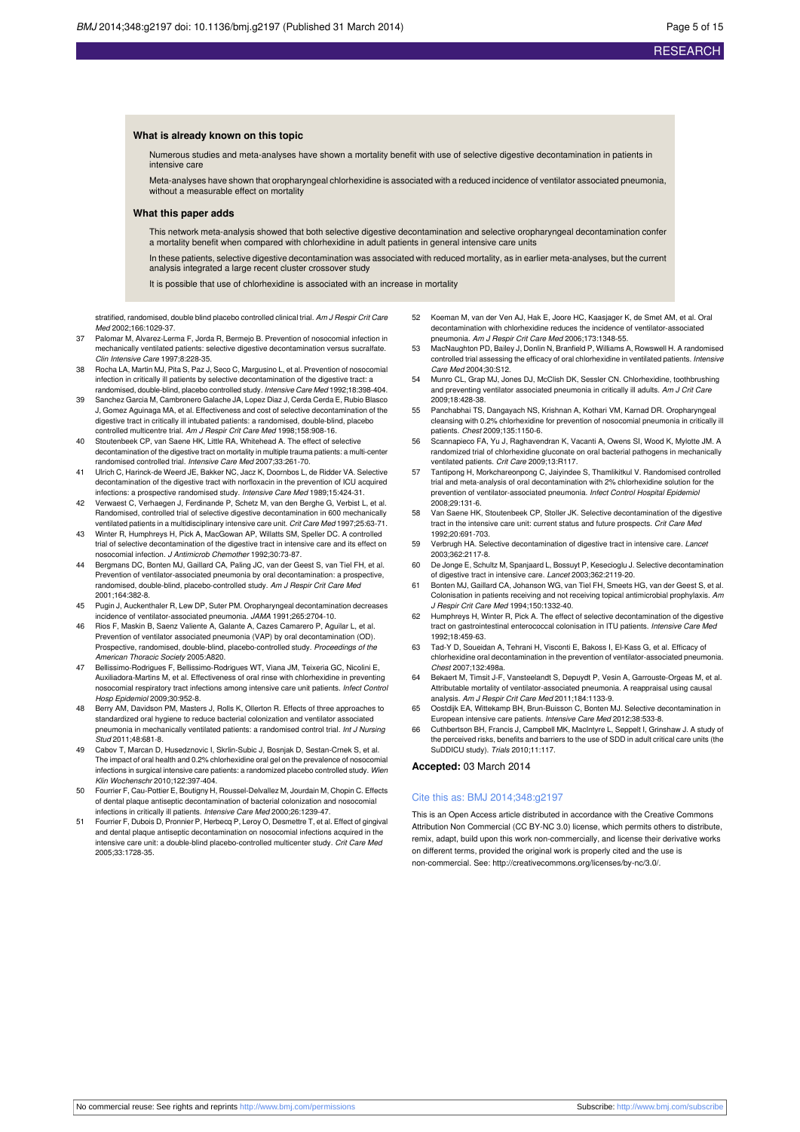#### **What is already known on this topic**

Numerous studies and meta-analyses have shown a mortality benefit with use of selective digestive decontamination in patients in intensive care

Meta-analyses have shown that oropharyngeal chlorhexidine is associated with a reduced incidence of ventilator associated pneumonia, without a measurable effect on mortality

#### **What this paper adds**

This network meta-analysis showed that both selective digestive decontamination and selective oropharyngeal decontamination confer a mortality benefit when compared with chlorhexidine in adult patients in general intensive care units

In these patients, selective digestive decontamination was associated with reduced mortality, as in earlier meta-analyses, but the current analysis integrated a large recent cluster crossover study

It is possible that use of chlorhexidine is associated with an increase in mortality

stratified, randomised, double blind placebo controlled clinical trial. Am J Respir Crit Care Med 2002;166:1029-37.

- 37 Palomar M, Alvarez-Lerma F, Jorda R, Bermejo B. Prevention of nosocomial infection in mechanically ventilated patients: selective digestive decontamination versus sucralfate. Clin Intensive Care 1997;8:228-35.
- 38 Rocha LA, Martin MJ, Pita S, Paz J, Seco C, Margusino L, et al. Prevention of nosocomial infection in critically ill patients by selective decontamination of the digestive tract: a randomised, double-blind, placebo controlled study. Intensive Care Med 1992;18:398-404.
- 39 Sanchez Garcia M, Cambronero Galache JA, Lopez Diaz J, Cerda Cerda E, Rubio Blasco J, Gomez Aguinaga MA, et al. Effectiveness and cost of selective decontamination of the digestive tract in critically ill intubated patients: a randomised, double-blind, placebo controlled multicentre trial. Am J Respir Crit Care Med 1998;158:908-16.
- 40 Stoutenbeek CP, van Saene HK, Little RA, Whitehead A. The effect of selective decontamination of the digestive tract on mortality in multiple trauma patients: a multi-center randomised controlled trial. Intensive Care Med 2007;33:261-70.
- 41 Ulrich C, Harinck-de Weerd JE, Bakker NC, Jacz K, Doornbos L, de Ridder VA. Selective decontamination of the digestive tract with norfloxacin in the prevention of ICU acquired infections: a prospective randomised study. Intensive Care Med 1989;15:424-31.
- 42 Verwaest C, Verhaegen J, Ferdinande P, Schetz M, van den Berghe G, Verbist L, et al. Randomised, controlled trial of selective digestive decontamination in 600 mechanically ventilated patients in a multidisciplinary intensive care unit. Crit Care Med 1997;25:63-71.
- 43 Winter R, Humphreys H, Pick A, MacGowan AP, Willatts SM, Speller DC. A controlled trial of selective decontamination of the digestive tract in intensive care and its effect on nosocomial infection. J Antimicrob Chemother 1992;30:73-87.
- 44 Bergmans DC, Bonten MJ, Gaillard CA, Paling JC, van der Geest S, van Tiel FH, et al. Prevention of ventilator-associated pneumonia by oral decontamination: a prospective, randomised, double-blind, placebo-controlled study. Am J Respir Crit Care Med 2001;164:382-8.
- 45 Pugin J, Auckenthaler R, Lew DP, Suter PM. Oropharyngeal decontamination decreases incidence of ventilator-associated pneumonia. JAMA 1991;265:2704-10.
- 46 Rios F, Maskin B, Saenz Valiente A, Galante A, Cazes Camarero P, Aguilar L, et al. Prevention of ventilator associated pneumonia (VAP) by oral decontamination (OD). Prospective, randomised, double-blind, placebo-controlled study. Proceedings of the American Thoracic Society 2005:A820.
- 47 Bellissimo-Rodrigues F, Bellissimo-Rodrigues WT, Viana JM, Teixeria GC, Nicolini E, Auxiliadora-Martins M, et al. Effectiveness of oral rinse with chlorhexidine in preventing nosocomial respiratory tract infections among intensive care unit patients. Infect Control Hosp Epidemiol 2009;30:952-8.
- 48 Berry AM, Davidson PM, Masters J, Rolls K, Ollerton R. Effects of three approaches to standardized oral hygiene to reduce bacterial colonization and ventilator associated pneumonia in mechanically ventilated patients: a randomised control trial. Int J Nursing Stud 2011;48:681-8.
- Cabov T, Marcan D, Husedznovic I, Skrlin-Subic J, Bosnjak D, Sestan-Crnek S, et al. The impact of oral health and 0.2% chlorhexidine oral gel on the prevalence of nosocomial infections in surgical intensive care patients: a randomized placebo controlled study. Wien Klin Wochenschr 2010;122:397-404.
- 50 Fourrier F, Cau-Pottier E, Boutigny H, Roussel-Delvallez M, Jourdain M, Chopin C. Effects of dental plaque antiseptic decontamination of bacterial colonization and nosocomial infections in critically ill patients. Intensive Care Med 2000;26:1239-47.
- Fourrier F, Dubois D, Pronnier P, Herbecq P, Leroy O, Desmettre T, et al. Effect of gingival and dental plaque antiseptic decontamination on nosocomial infections acquired in the intensive care unit: a double-blind placebo-controlled multicenter study. Crit Care Med 2005;33:1728-35.
- 52 Koeman M, van der Ven AJ, Hak E, Joore HC, Kaasjager K, de Smet AM, et al. Oral decontamination with chlorhexidine reduces the incidence of ventilator-associated neumonia. Am J Respir Crit Care Med 2006;173:1348-55.
- 53 MacNaughton PD, Bailey J, Donlin N, Branfield P, Williams A, Rowswell H. A randomised controlled trial assessing the efficacy of oral chlorhexidine in ventilated patients. Intensive Care Med 2004;30:S12.
- 54 Munro CL, Grap MJ, Jones DJ, McClish DK, Sessler CN. Chlorhexidine, toothbrushing and preventing ventilator associated pneumonia in critically ill adults. Am J Crit Care 2009;18:428-38.
- 55 Panchabhai TS, Dangayach NS, Krishnan A, Kothari VM, Karnad DR. Oropharyngeal cleansing with 0.2% chlorhexidine for prevention of nosocomial pneumonia in critically ill patients. Chest 2009;135:1150-6.
- 56 Scannapieco FA, Yu J, Raghavendran K, Vacanti A, Owens SI, Wood K, Mylotte JM. A randomized trial of chlorhexidine gluconate on oral bacterial pathogens in mechanically ventilated patients. Crit Care 2009;13:R117.
- 57 Tantipong H, Morkchareonpong C, Jaiyindee S, Thamlikitkul V. Randomised controlled trial and meta-analysis of oral decontamination with 2% chlorhexidine solution for the prevention of ventilator-associated pneumonia. Infect Control Hospital Epidemiol 2008;29:131-6.
- 58 Van Saene HK, Stoutenbeek CP, Stoller JK. Selective decontamination of the digestive tract in the intensive care unit: current status and future prospects. Crit Care Med 1992;20:691-703.
- 59 Verbrugh HA. Selective decontamination of digestive tract in intensive care. Lancet 2003;362:2117-8.
- 60 De Jonge E, Schultz M, Spanjaard L, Bossuyt P, Kesecioglu J. Selective decontamination of digestive tract in intensive care. Lancet 2003;362:2119-20.
- 61 Bonten MJ, Gaillard CA, Johanson WG, van Tiel FH, Smeets HG, van der Geest S, et al. Colonisation in patients receiving and not receiving topical antimicrobial prophylaxis. Am J Respir Crit Care Med 1994;150:1332-40.
- 62 Humphreys H, Winter R, Pick A. The effect of selective decontamination of the digestive tract on gastrointestinal enterococcal colonisation in ITU patients. Intensive Care Med 1992;18:459-63.
- 63 Tad-Y D, Soueidan A, Tehrani H, Visconti E, Bakoss I, El-Kass G, et al. Efficacy of chlorhexidine oral decontamination in the prevention of ventilator-associated pneumonia. Chest 2007;132:498a.
- 64 Bekaert M, Timsit J-F, Vansteelandt S, Depuydt P, Vesin A, Garrouste-Orgeas M, et al. Attributable mortality of ventilator-associated pneumonia. A reappraisal using causal analysis. Am J Respir Crit Care Med 2011;184:1133-9.
- 65 Oostdijk EA, Wittekamp BH, Brun-Buisson C, Bonten MJ. Selective deco European intensive care patients. Intensive Care Med 2012;38:533-8.
- 66 Cuthbertson BH, Francis J, Campbell MK, MacIntyre L, Seppelt I, Grinshaw J. A study of the perceived risks, benefits and barriers to the use of SDD in adult critical care units (the SuDDICU study). Trials 2010;11:117.

**Accepted:** 03 March 2014

#### Cite this as: BMJ 2014;348:g2197

This is an Open Access article distributed in accordance with the Creative Commons Attribution Non Commercial (CC BY-NC 3.0) license, which permits others to distribute, remix, adapt, build upon this work non-commercially, and license their derivative works on different terms, provided the original work is properly cited and the use is non-commercial. See: <http://creativecommons.org/licenses/by-nc/3.0/>.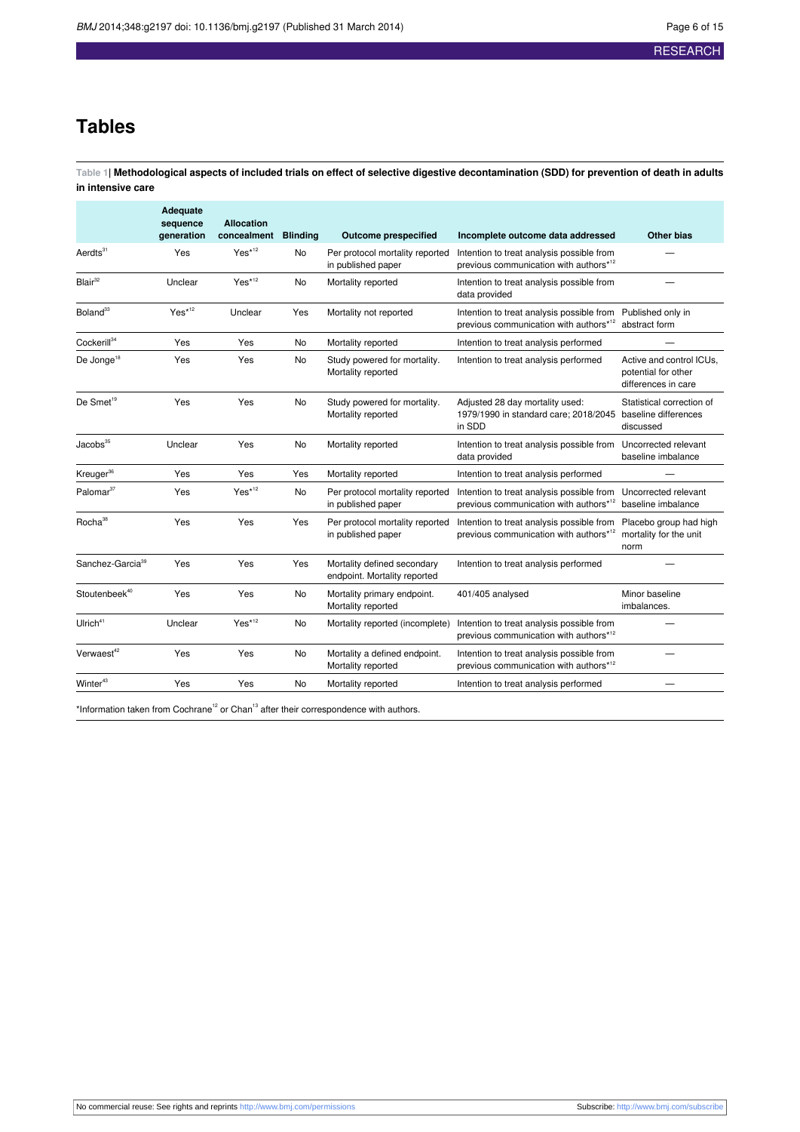## **Tables**

<span id="page-5-0"></span>Table 1| Methodological aspects of included trials on effect of selective digestive decontamination (SDD) for prevention of death in adults **in intensive care**

|                              | Adequate<br>sequence<br>generation | <b>Allocation</b><br>concealment | <b>Blinding</b> | <b>Outcome prespecified</b>                                 | Incomplete outcome data addressed                                                               | <b>Other bias</b>                                                      |
|------------------------------|------------------------------------|----------------------------------|-----------------|-------------------------------------------------------------|-------------------------------------------------------------------------------------------------|------------------------------------------------------------------------|
| Aerdts $31$                  | Yes                                | $Yes*12$                         | No              | Per protocol mortality reported<br>in published paper       | Intention to treat analysis possible from<br>previous communication with authors* <sup>12</sup> |                                                                        |
| Blair <sup>32</sup>          | Unclear                            | $Yes^{*12}$                      | No              | Mortality reported                                          | Intention to treat analysis possible from<br>data provided                                      |                                                                        |
| Boland <sup>33</sup>         | $Yes^{*12}$                        | Unclear                          | Yes             | Mortality not reported                                      | Intention to treat analysis possible from<br>previous communication with authors*12             | Published only in<br>abstract form                                     |
| Cockerill <sup>34</sup>      | Yes                                | Yes                              | No              | Mortality reported                                          | Intention to treat analysis performed                                                           |                                                                        |
| De Jonge <sup>18</sup>       | Yes                                | Yes                              | No              | Study powered for mortality.<br>Mortality reported          | Intention to treat analysis performed                                                           | Active and control ICUs,<br>potential for other<br>differences in care |
| De Smet <sup>19</sup>        | Yes                                | Yes                              | No              | Study powered for mortality.<br>Mortality reported          | Adjusted 28 day mortality used:<br>1979/1990 in standard care; 2018/2045<br>in SDD              | Statistical correction of<br>baseline differences<br>discussed         |
| Jacobs <sup>35</sup>         | Unclear                            | Yes                              | No              | Mortality reported                                          | Intention to treat analysis possible from<br>data provided                                      | Uncorrected relevant<br>baseline imbalance                             |
| Kreuger <sup>36</sup>        | Yes                                | Yes                              | Yes             | Mortality reported                                          | Intention to treat analysis performed                                                           |                                                                        |
| Palomar <sup>37</sup>        | Yes                                | $Yes^{*12}$                      | No              | Per protocol mortality reported<br>in published paper       | Intention to treat analysis possible from<br>previous communication with authors* <sup>12</sup> | Uncorrected relevant<br>baseline imbalance                             |
| Rocha <sup>38</sup>          | Yes                                | Yes                              | Yes             | Per protocol mortality reported<br>in published paper       | Intention to treat analysis possible from<br>previous communication with authors* <sup>12</sup> | Placebo group had high<br>mortality for the unit<br>norm               |
| Sanchez-Garcia <sup>39</sup> | Yes                                | Yes                              | Yes             | Mortality defined secondary<br>endpoint. Mortality reported | Intention to treat analysis performed                                                           |                                                                        |
| Stoutenbeek <sup>40</sup>    | Yes                                | Yes                              | No              | Mortality primary endpoint.<br>Mortality reported           | 401/405 analysed                                                                                | Minor baseline<br>imbalances.                                          |
| Ulrich <sup>41</sup>         | Unclear                            | $Yes^{*12}$                      | No              | Mortality reported (incomplete)                             | Intention to treat analysis possible from<br>previous communication with authors* <sup>12</sup> |                                                                        |
| Verwaest <sup>42</sup>       | Yes                                | Yes                              | No              | Mortality a defined endpoint.<br>Mortality reported         | Intention to treat analysis possible from<br>previous communication with authors* <sup>12</sup> |                                                                        |
| Winter $43$                  | Yes                                | Yes                              | No              | Mortality reported                                          | Intention to treat analysis performed                                                           |                                                                        |
|                              |                                    |                                  |                 |                                                             |                                                                                                 |                                                                        |

\*Information taken from Cochrane<sup>12</sup> or Chan<sup>13</sup> after their correspondence with authors.

No commercial reuse: See rights and reprints <http://www.bmj.com/permissions> Subscribe: <http://www.bmj.com/subscribe>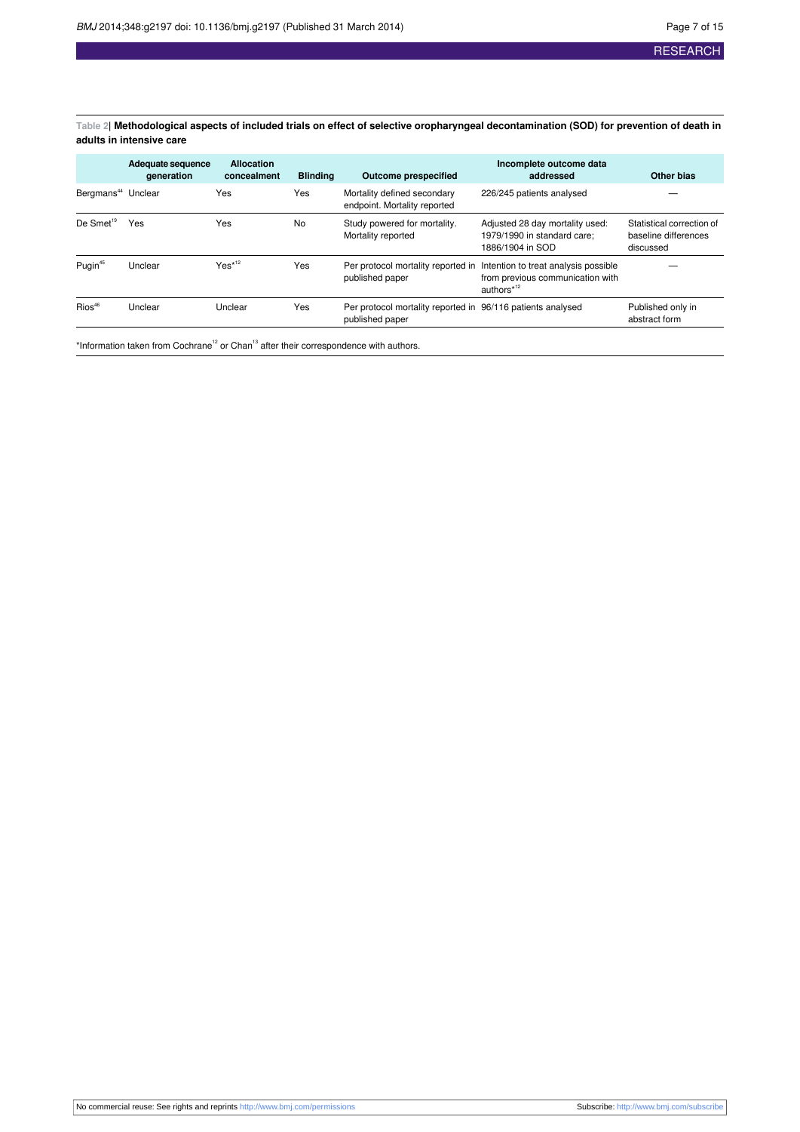<span id="page-6-0"></span>Table 2| Methodological aspects of included trials on effect of selective oropharyngeal decontamination (SOD) for prevention of death in **adults in intensive care**

| Adequate sequence<br>generation | <b>Allocation</b><br>concealment | <b>Blinding</b> | <b>Outcome prespecified</b>                                 | Incomplete outcome data<br>addressed                                                               | <b>Other bias</b>                                              |
|---------------------------------|----------------------------------|-----------------|-------------------------------------------------------------|----------------------------------------------------------------------------------------------------|----------------------------------------------------------------|
| Bergmans <sup>44</sup> Unclear  | Yes                              | Yes             | Mortality defined secondary<br>endpoint. Mortality reported | 226/245 patients analysed                                                                          |                                                                |
| Yes                             | Yes                              | <b>No</b>       | Study powered for mortality.<br>Mortality reported          | Adjusted 28 day mortality used:<br>1979/1990 in standard care;<br>1886/1904 in SOD                 | Statistical correction of<br>baseline differences<br>discussed |
| Unclear                         | $Yes^{*12}$                      | Yes             | Per protocol mortality reported in<br>published paper       | Intention to treat analysis possible<br>from previous communication with<br>authors* <sup>12</sup> |                                                                |
| Unclear                         | Unclear                          | Yes             | published paper                                             |                                                                                                    | Published only in<br>abstract form                             |
|                                 |                                  |                 |                                                             |                                                                                                    | Per protocol mortality reported in 96/116 patients analysed    |

\*Information taken from Cochrane<sup>12</sup> or Chan<sup>13</sup> after their correspondence with authors.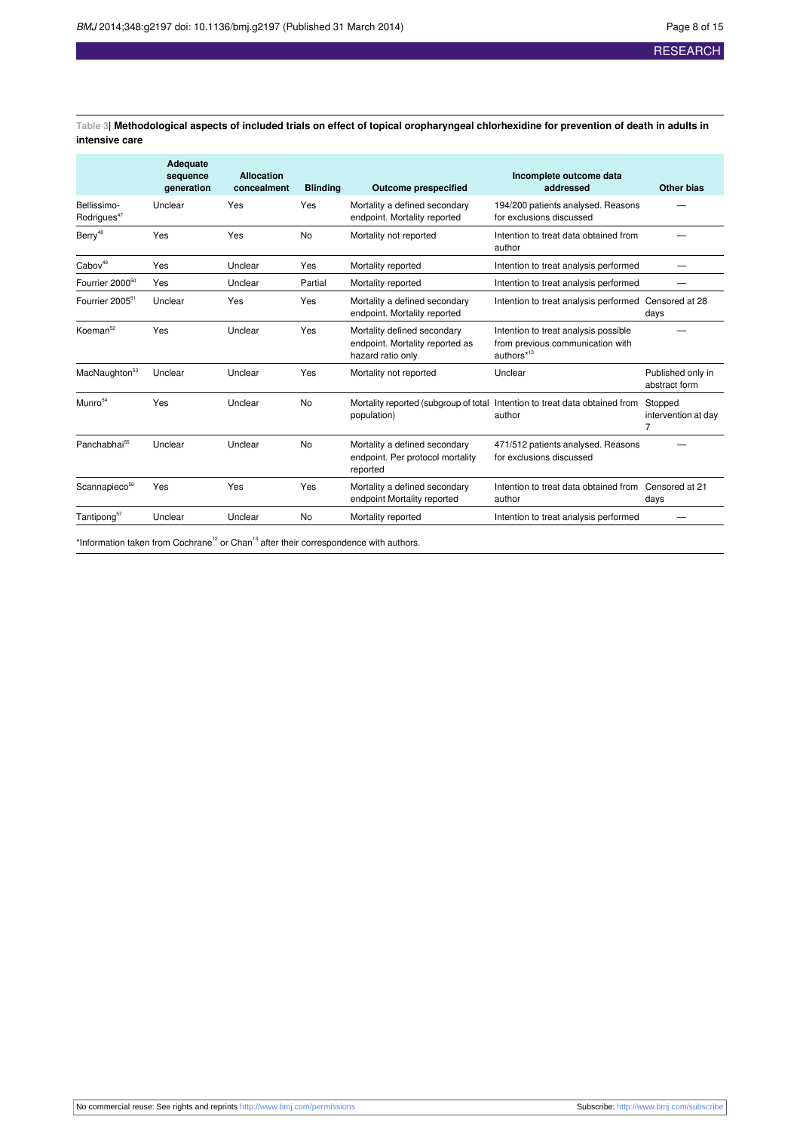<span id="page-7-0"></span>Table 3| Methodological aspects of included trials on effect of topical oropharyngeal chlorhexidine for prevention of death in adults in **intensive care**

|                                        | Adequate<br>sequence<br>qeneration | <b>Allocation</b><br>concealment | <b>Blinding</b> | <b>Outcome prespecified</b>                                                         | Incomplete outcome data<br>addressed                                                               | Other bias                          |
|----------------------------------------|------------------------------------|----------------------------------|-----------------|-------------------------------------------------------------------------------------|----------------------------------------------------------------------------------------------------|-------------------------------------|
| Bellissimo-<br>Rodrigues <sup>47</sup> | Unclear                            | Yes                              | Yes             | Mortality a defined secondary<br>endpoint. Mortality reported                       | 194/200 patients analysed. Reasons<br>for exclusions discussed                                     |                                     |
| Berry <sup>48</sup>                    | Yes                                | Yes                              | No              | Mortality not reported                                                              | Intention to treat data obtained from<br>author                                                    |                                     |
| Cabov <sup>49</sup>                    | Yes                                | Unclear                          | Yes             | Mortality reported                                                                  | Intention to treat analysis performed                                                              |                                     |
| Fourrier 2000 <sup>50</sup>            | Yes                                | Unclear                          | Partial         | Mortality reported                                                                  | Intention to treat analysis performed                                                              |                                     |
| Fourrier 2005 <sup>51</sup>            | Unclear                            | Yes                              | Yes             | Mortality a defined secondary<br>endpoint. Mortality reported                       | Intention to treat analysis performed Censored at 28                                               | days                                |
| Koeman <sup>52</sup>                   | Yes                                | Unclear                          | Yes             | Mortality defined secondary<br>endpoint. Mortality reported as<br>hazard ratio only | Intention to treat analysis possible<br>from previous communication with<br>authors* <sup>13</sup> |                                     |
| MacNaughton <sup>53</sup>              | Unclear                            | Unclear                          | Yes             | Mortality not reported                                                              | Unclear                                                                                            | Published only in<br>abstract form  |
| $M$ unro $54$                          | Yes                                | Unclear                          | No              | population)                                                                         | Mortality reported (subgroup of total Intention to treat data obtained from<br>author              | Stopped<br>intervention at day<br>7 |
| Panchabhai <sup>55</sup>               | Unclear                            | Unclear                          | No              | Mortality a defined secondary<br>endpoint. Per protocol mortality<br>reported       | 471/512 patients analysed. Reasons<br>for exclusions discussed                                     |                                     |
| Scannapieco <sup>56</sup>              | Yes                                | Yes                              | Yes             | Mortality a defined secondary<br>endpoint Mortality reported                        | Intention to treat data obtained from Censored at 21<br>author                                     | days                                |
| Tantipong <sup>57</sup>                | Unclear                            | Unclear                          | No              | Mortality reported                                                                  | Intention to treat analysis performed                                                              |                                     |

\*Information taken from Cochrane<sup>12</sup> or Chan<sup>13</sup> after their correspondence with authors.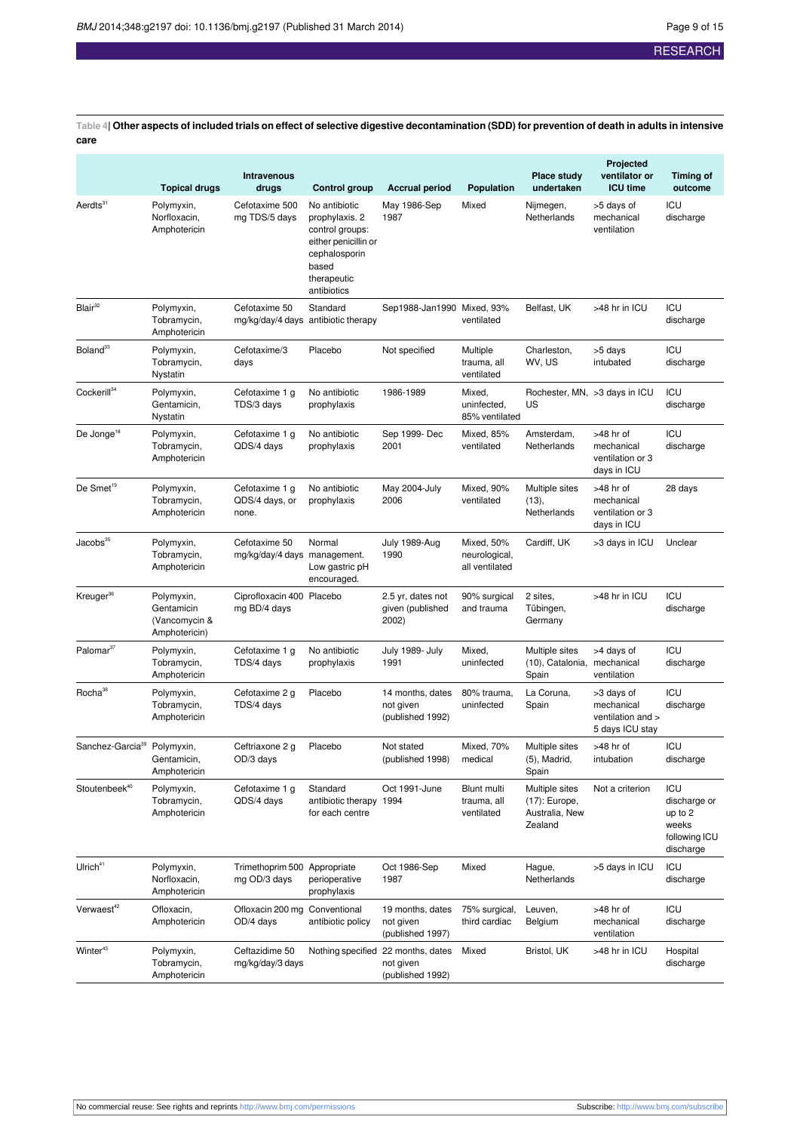<span id="page-8-0"></span>Table 4 Other aspects of included trials on effect of selective digestive decontamination (SDD) for prevention of death in adults in intensive **care**

|                                         | <b>Topical drugs</b>                                       | Intravenous<br>drugs                          | <b>Control group</b>                                                                                                               | <b>Accrual period</b>                                               | Population                                       | Place study<br>undertaken                                    | Projected<br>ventilator or<br><b>ICU time</b>                    | <b>Timing of</b><br>outcome                                           |
|-----------------------------------------|------------------------------------------------------------|-----------------------------------------------|------------------------------------------------------------------------------------------------------------------------------------|---------------------------------------------------------------------|--------------------------------------------------|--------------------------------------------------------------|------------------------------------------------------------------|-----------------------------------------------------------------------|
| Aerdts <sup>31</sup>                    | Polymyxin,<br>Norfloxacin,<br>Amphotericin                 | Cefotaxime 500<br>mg TDS/5 days               | No antibiotic<br>prophylaxis. 2<br>control groups:<br>either penicillin or<br>cephalosporin<br>based<br>therapeutic<br>antibiotics | May 1986-Sep<br>1987                                                | Mixed                                            | Nijmegen,<br>Netherlands                                     | >5 days of<br>mechanical<br>ventilation                          | ICU<br>discharge                                                      |
| $B$ lair <sup>32</sup>                  | Polymyxin,<br>Tobramycin,<br>Amphotericin                  | Cefotaxime 50                                 | Standard<br>mg/kg/day/4 days antibiotic therapy                                                                                    | Sep1988-Jan1990 Mixed, 93%                                          | ventilated                                       | Belfast, UK                                                  | >48 hr in ICU                                                    | ICU<br>discharge                                                      |
| Boland <sup>33</sup>                    | Polymyxin,<br>Tobramycin,<br>Nystatin                      | Cefotaxime/3<br>days                          | Placebo                                                                                                                            | Not specified                                                       | Multiple<br>trauma, all<br>ventilated            | Charleston,<br>WV, US                                        | >5 days<br>intubated                                             | <b>ICU</b><br>discharge                                               |
| Cockerill <sup>34</sup>                 | Polymyxin,<br>Gentamicin,<br>Nystatin                      | Cefotaxime 1 g<br>TDS/3 days                  | No antibiotic<br>prophylaxis                                                                                                       | 1986-1989                                                           | Mixed,<br>uninfected,<br>85% ventilated          | US                                                           | Rochester, MN, >3 days in ICU                                    | ICU<br>discharge                                                      |
| De Jonge <sup>18</sup>                  | Polymyxin,<br>Tobramycin,<br>Amphotericin                  | Cefotaxime 1 g<br>QDS/4 days                  | No antibiotic<br>prophylaxis                                                                                                       | Sep 1999- Dec<br>Mixed, 85%<br>2001<br>ventilated                   |                                                  | Amsterdam,<br>Netherlands                                    | >48 hr of<br>mechanical<br>ventilation or 3<br>days in ICU       | ICU<br>discharge                                                      |
| De Smet <sup>19</sup>                   | Polymyxin,<br>Tobramycin,<br>Amphotericin                  | Cefotaxime 1 g<br>QDS/4 days, or<br>none.     | No antibiotic<br>prophylaxis                                                                                                       | May 2004-July<br>2006                                               | Mixed, 90%<br>ventilated                         | Multiple sites<br>(13),<br>Netherlands                       | >48 hr of<br>mechanical<br>ventilation or 3<br>days in ICU       | 28 days                                                               |
| Jacobs <sup>35</sup>                    | Polymyxin,<br>Tobramycin,<br>Amphotericin                  | Cefotaxime 50<br>mg/kg/day/4 days management. | Normal<br>Low gastric pH<br>encouraged.                                                                                            | July 1989-Aug<br>1990                                               | Mixed, 50%<br>neurological,<br>all ventilated    | Cardiff, UK                                                  | >3 days in ICU                                                   | Unclear                                                               |
| Kreuger <sup>36</sup>                   | Polymyxin,<br>Gentamicin<br>(Vancomycin &<br>Amphotericin) | Ciprofloxacin 400 Placebo<br>mg BD/4 days     |                                                                                                                                    | 2.5 yr, dates not<br>given (published<br>2002)                      | 90% surgical<br>and trauma                       | 2 sites,<br>Tübingen,<br>Germany                             | >48 hr in ICU                                                    | ICU<br>discharge                                                      |
| Palomar <sup>37</sup>                   | Polymyxin,<br>Tobramycin,<br>Amphotericin                  | Cefotaxime 1 g<br>TDS/4 days                  | No antibiotic<br>prophylaxis                                                                                                       | July 1989- July<br>1991                                             | Mixed,<br>uninfected                             | Multiple sites<br>(10), Catalonia,<br>Spain                  | >4 days of<br>mechanical<br>ventilation                          | ICU<br>discharge                                                      |
| Rocha <sup>38</sup>                     | Polymyxin,<br>Tobramycin,<br>Amphotericin                  | Cefotaxime 2 g<br>TDS/4 days                  | Placebo                                                                                                                            | 14 months, dates<br>not given<br>(published 1992)                   | La Coruna,<br>80% trauma,<br>uninfected<br>Spain |                                                              | >3 days of<br>mechanical<br>ventilation and ><br>5 days ICU stay | ICU<br>discharge                                                      |
| Sanchez-Garcia <sup>39</sup> Polymyxin, | Gentamıcın,<br>Amphotericin                                | Ceftriaxone 2 g<br>OD/3 days                  | Placebo                                                                                                                            | Not stated<br>(published 1998)                                      | Mixed, 70%<br>medical                            | Multiple sites<br>(5), Madrid,<br>Spain                      | >48 hr of<br>intubation                                          | ICU<br>aischarge                                                      |
| Stoutenbeek <sup>40</sup>               | Polymyxin,<br>Tobramycin,<br>Amphotericin                  | Cefotaxime 1 g<br>QDS/4 days                  | Standard<br>antibiotic therapy 1994<br>for each centre                                                                             | Oct 1991-June                                                       | Blunt multi<br>trauma, all<br>ventilated         | Multiple sites<br>(17): Europe,<br>Australia, New<br>Zealand | Not a criterion                                                  | ICU<br>discharge or<br>up to 2<br>weeks<br>following ICU<br>discharge |
| Ulrich <sup>41</sup>                    | Polymyxin,<br>Norfloxacin,<br>Amphotericin                 | Trimethoprim 500 Appropriate<br>mg OD/3 days  | perioperative<br>prophylaxis                                                                                                       | Oct 1986-Sep<br>1987                                                | Mixed                                            | Hague,<br>Netherlands                                        | >5 days in ICU                                                   | ICU<br>discharge                                                      |
| Verwaest <sup>42</sup>                  | Ofloxacin,<br>Amphotericin                                 | Ofloxacin 200 mg Conventional<br>OD/4 days    | antibiotic policy                                                                                                                  | 19 months, dates<br>not given<br>(published 1997)                   | 75% surgical,<br>third cardiac                   | Leuven,<br>Belgium                                           | >48 hr of<br>mechanical<br>ventilation                           | ICU<br>discharge                                                      |
| Winter <sup>43</sup>                    | Polymyxin,<br>Tobramycin,<br>Amphotericin                  | Ceftazidime 50<br>mg/kg/day/3 days            |                                                                                                                                    | Nothing specified 22 months, dates<br>not given<br>(published 1992) | Mixed                                            | Bristol, UK                                                  | >48 hr in ICU                                                    | Hospital<br>discharge                                                 |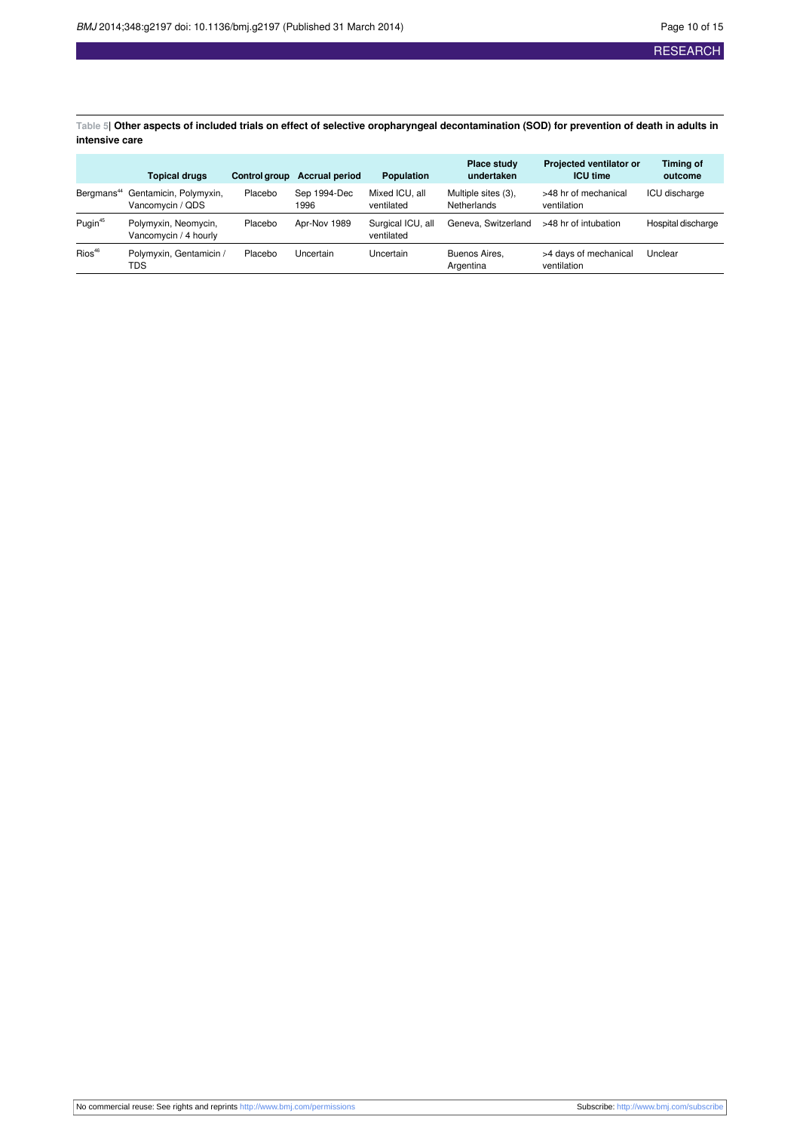<span id="page-9-0"></span>Table 5| Other aspects of included trials on effect of selective oropharyngeal decontamination (SOD) for prevention of death in adults in **intensive care**

|                     | <b>Topical drugs</b>                                              | <b>Control aroup</b> | <b>Accrual period</b> | <b>Population</b>               | Place study<br>undertaken          | Projected ventilator or<br><b>ICU time</b> | Timing of<br>outcome |
|---------------------|-------------------------------------------------------------------|----------------------|-----------------------|---------------------------------|------------------------------------|--------------------------------------------|----------------------|
|                     | Bergmans <sup>44</sup> Gentamicin, Polymyxin,<br>Vancomycin / QDS | Placebo              | Sep 1994-Dec<br>1996  | Mixed ICU, all<br>ventilated    | Multiple sites (3),<br>Netherlands | >48 hr of mechanical<br>ventilation        | ICU discharge        |
| Pugin <sup>45</sup> | Polymyxin, Neomycin,<br>Vancomycin / 4 hourly                     | Placebo              | Apr-Nov 1989          | Surgical ICU, all<br>ventilated | Geneva, Switzerland                | >48 hr of intubation                       | Hospital discharge   |
| $Rios^{46}$         | Polymyxin, Gentamicin /<br>TDS                                    | Placebo              | Uncertain             | Uncertain                       | Buenos Aires.<br>Argentina         | >4 days of mechanical<br>ventilation       | Unclear              |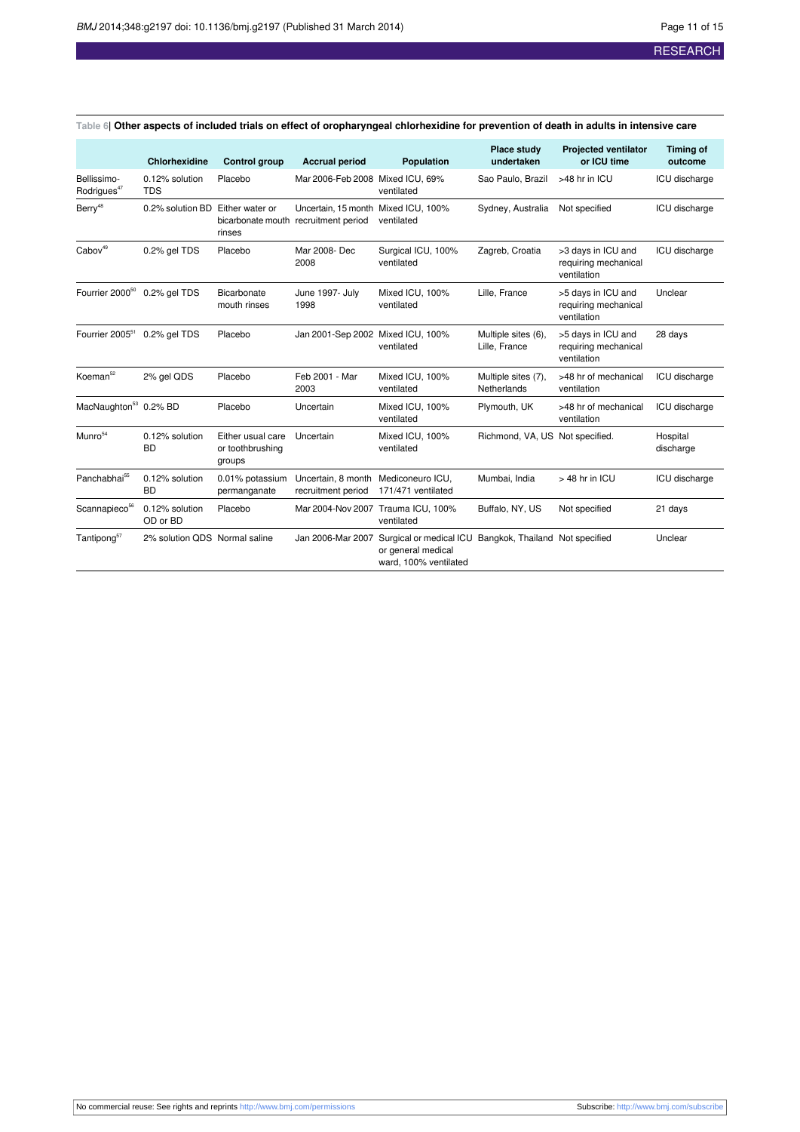|                                          | <b>Chlorhexidine</b>          | <b>Control group</b>                            | <b>Accrual period</b>                                                       | <b>Population</b>                                                                                      | Place study<br>undertaken            | <b>Projected ventilator</b><br>or ICU time                | <b>Timing of</b><br>outcome |
|------------------------------------------|-------------------------------|-------------------------------------------------|-----------------------------------------------------------------------------|--------------------------------------------------------------------------------------------------------|--------------------------------------|-----------------------------------------------------------|-----------------------------|
| Bellissimo-<br>Rodrigues <sup>47</sup>   | 0.12% solution<br><b>TDS</b>  | Placebo                                         | Mar 2006-Feb 2008 Mixed ICU, 69%                                            | ventilated                                                                                             | Sao Paulo, Brazil                    | >48 hr in ICU                                             | ICU discharge               |
| Berry <sup>48</sup>                      | 0.2% solution BD              | Either water or<br>rinses                       | Uncertain, 15 month Mixed ICU, 100%<br>bicarbonate mouth recruitment period | ventilated                                                                                             | Sydney, Australia                    | Not specified                                             | ICU discharge               |
| Cabov <sup>49</sup>                      | 0.2% gel TDS                  | Placebo                                         | Mar 2008- Dec<br>2008                                                       | Surgical ICU, 100%<br>ventilated                                                                       | Zagreb, Croatia                      | >3 days in ICU and<br>requiring mechanical<br>ventilation | <b>ICU</b> discharge        |
| Fourrier 2000 <sup>50</sup> 0.2% gel TDS |                               | Bicarbonate<br>mouth rinses                     | June 1997- July<br>1998                                                     | Mixed ICU, 100%<br>ventilated                                                                          | Lille, France                        | >5 days in ICU and<br>requiring mechanical<br>ventilation | Unclear                     |
| Fourrier 2005 <sup>51</sup>              | 0.2% gel TDS                  | Placebo                                         | Jan 2001-Sep 2002 Mixed ICU, 100%                                           | ventilated                                                                                             | Multiple sites (6),<br>Lille, France | >5 days in ICU and<br>requiring mechanical<br>ventilation | 28 days                     |
| Koeman <sup>52</sup>                     | 2% gel QDS                    | Placebo                                         | Feb 2001 - Mar<br>2003                                                      | Mixed ICU, 100%<br>ventilated                                                                          | Multiple sites (7),<br>Netherlands   | >48 hr of mechanical<br>ventilation                       | ICU discharge               |
| MacNaughton <sup>53</sup> 0.2% BD        |                               | Placebo                                         | Uncertain                                                                   | Mixed ICU, 100%<br>ventilated                                                                          | Plymouth, UK                         | >48 hr of mechanical<br>ventilation                       | ICU discharge               |
| Munro <sup>54</sup>                      | 0.12% solution<br><b>BD</b>   | Either usual care<br>or toothbrushing<br>groups | Uncertain                                                                   | Mixed ICU, 100%<br>ventilated                                                                          | Richmond, VA, US Not specified.      |                                                           | Hospital<br>discharge       |
| Panchabhai <sup>55</sup>                 | 0.12% solution<br><b>BD</b>   | 0.01% potassium<br>permanganate                 | Uncertain, 8 month<br>recruitment period                                    | Mediconeuro ICU,<br>171/471 ventilated                                                                 | Mumbai, India                        | $>$ 48 hr in ICU                                          | ICU discharge               |
| Scannapieco <sup>56</sup>                | 0.12% solution<br>OD or BD    | Placebo                                         | Mar 2004-Nov 2007                                                           | Trauma ICU, 100%<br>ventilated                                                                         | Buffalo, NY, US                      | Not specified                                             | 21 days                     |
| Tantipong <sup>57</sup>                  | 2% solution QDS Normal saline |                                                 | Jan 2006-Mar 2007                                                           | Surgical or medical ICU Bangkok, Thailand Not specified<br>or general medical<br>ward, 100% ventilated |                                      |                                                           | Unclear                     |

<span id="page-10-0"></span>Table 6| Other aspects of included trials on effect of oropharyngeal chlorhexidine for prevention of death in adults in intensive care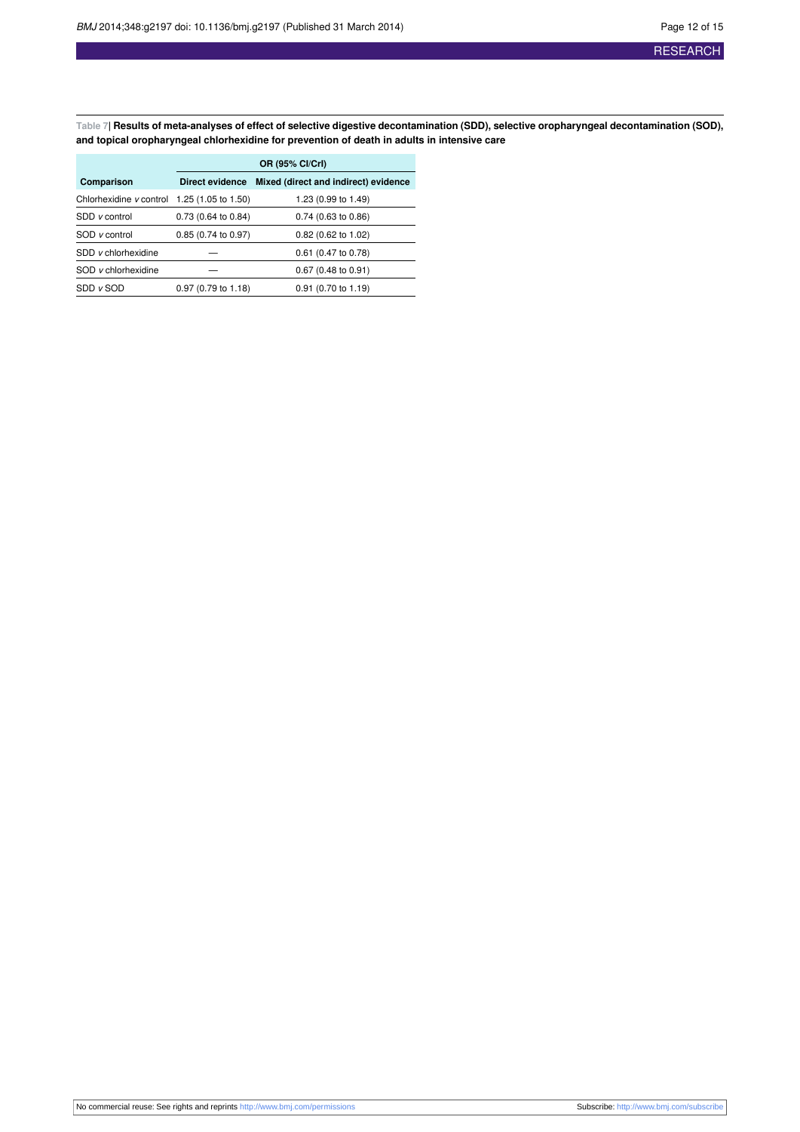<span id="page-11-0"></span>Table 7| Results of meta-analyses of effect of selective digestive decontamination (SDD), selective oropharyngeal decontamination (SOD), **and topical oropharyngeal chlorhexidine for prevention of death in adults in intensive care**

|                                               | OR (95% CI/CrI)               |                                      |  |  |  |  |  |  |
|-----------------------------------------------|-------------------------------|--------------------------------------|--|--|--|--|--|--|
| Comparison                                    | Direct evidence               | Mixed (direct and indirect) evidence |  |  |  |  |  |  |
| Chlorhexidine $v$ control 1.25 (1.05 to 1.50) |                               | 1.23 (0.99 to 1.49)                  |  |  |  |  |  |  |
| SDD v control                                 | 0.73 (0.64 to 0.84)           | $0.74$ (0.63 to 0.86)                |  |  |  |  |  |  |
| SOD v control                                 | $0.85(0.74 \text{ to } 0.97)$ | $0.82$ (0.62 to 1.02)                |  |  |  |  |  |  |
| SDD v chlorhexidine                           |                               | 0.61 (0.47 to 0.78)                  |  |  |  |  |  |  |
| SOD v chlorhexidine                           |                               | $0.67$ (0.48 to 0.91)                |  |  |  |  |  |  |
| $SDD$ $v$ $SOD$                               | $0.97(0.79 \text{ to } 1.18)$ | $0.91$ (0.70 to 1.19)                |  |  |  |  |  |  |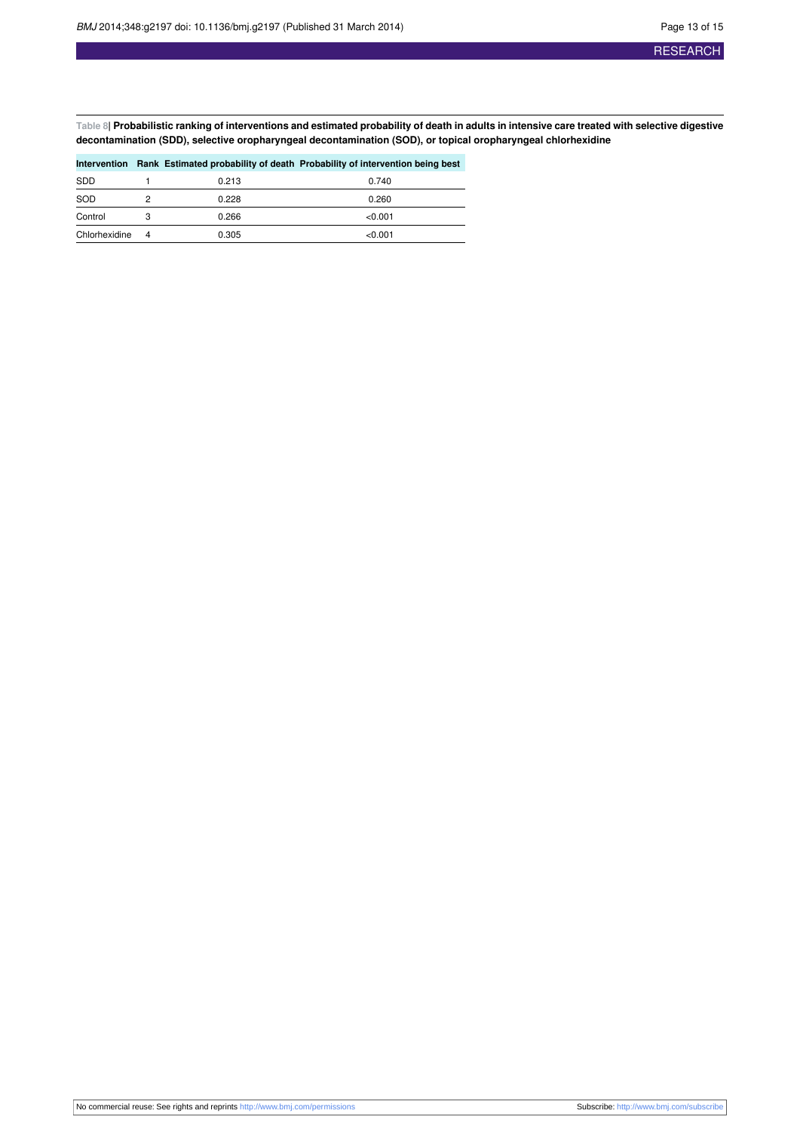<span id="page-12-0"></span>Table 8| Probabilistic ranking of interventions and estimated probability of death in adults in intensive care treated with selective digestive **decontamination (SDD), selective oropharyngeal decontamination (SOD), or topical oropharyngeal chlorhexidine**

|               |   |       | Intervention Rank Estimated probability of death Probability of intervention being best |
|---------------|---|-------|-----------------------------------------------------------------------------------------|
| <b>SDD</b>    |   | 0.213 | 0.740                                                                                   |
| SOD           | 2 | 0.228 | 0.260                                                                                   |
| Control       |   | 0.266 | < 0.001                                                                                 |
| Chlorhexidine | 4 | 0.305 | < 0.001                                                                                 |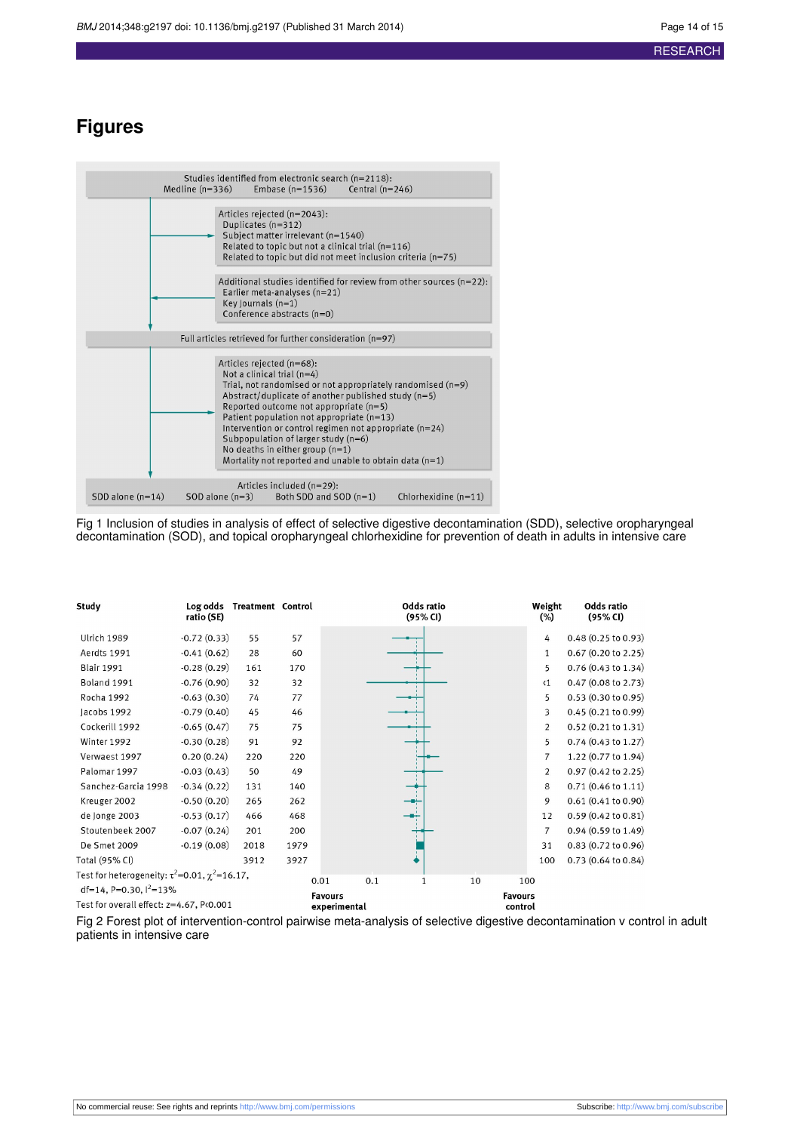## **Figures**

<span id="page-13-0"></span>

<span id="page-13-1"></span>Fig 1 Inclusion of studies in analysis of effect of selective digestive decontamination (SDD), selective oropharyngeal decontamination (SOD), and topical oropharyngeal chlorhexidine for prevention of death in adults in intensive care

| Study                                                    | Log odds<br>ratio (SE) | <b>Treatment Control</b> |      |                | Odds ratio<br>(95% CI) |                | Weight<br>$(\%)$ | Odds ratio<br>(95% CI)        |
|----------------------------------------------------------|------------------------|--------------------------|------|----------------|------------------------|----------------|------------------|-------------------------------|
| Ulrich 1989                                              | $-0.72(0.33)$          | 55                       | 57   |                |                        |                | 4                | 0.48(0.25 to 0.93)            |
| Aerdts 1991                                              | $-0.41(0.62)$          | 28                       | 60   |                |                        |                | $\mathbf{1}$     | $0.67$ (0.20 to 2.25)         |
| <b>Blair 1991</b>                                        | $-0.28(0.29)$          | 161                      | 170  |                |                        |                | 5                | 0.76 (0.43 to 1.34)           |
| Boland 1991                                              | $-0.76(0.90)$          | 32                       | 32   |                |                        |                | $\langle 1$      | 0.47(0.08 to 2.73)            |
| Rocha 1992                                               | $-0.63(0.30)$          | 74                       | 77   |                |                        |                | 5                | 0.53(0.30 to 0.95)            |
| Jacobs 1992                                              | $-0.79(0.40)$          | 45                       | 46   |                |                        |                | 3                | 0.45(0.21 to 0.99)            |
| Cockerill 1992                                           | $-0.65(0.47)$          | 75                       | 75   |                |                        |                | $\overline{2}$   | $0.52(0.21$ to $1.31)$        |
| Winter 1992                                              | $-0.30(0.28)$          | 91                       | 92   |                |                        |                | 5                | $0.74$ (0.43 to 1.27)         |
| Verwaest 1997                                            | 0.20(0.24)             | 220                      | 220  |                |                        |                | $\overline{7}$   | 1.22 (0.77 to 1.94)           |
| Palomar 1997                                             | $-0.03(0.43)$          | 50                       | 49   |                |                        |                | 2                | $0.97(0.42 \text{ to } 2.25)$ |
| Sanchez-Garcia 1998                                      | $-0.34(0.22)$          | 131                      | 140  |                |                        |                | 8                | $0.71(0.46 \text{ to } 1.11)$ |
| Kreuger 2002                                             | $-0.50(0.20)$          | 265                      | 262  |                |                        |                | 9                | 0.61(0.41 to 0.90)            |
| de Jonge 2003                                            | $-0.53(0.17)$          | 466                      | 468  |                |                        |                | 12               | $0.59(0.42 \text{ to } 0.81)$ |
| Stoutenbeek 2007                                         | $-0.07(0.24)$          | 201                      | 200  |                |                        |                | 7                | $0.94(0.59 \text{ to } 1.49)$ |
| De Smet 2009                                             | $-0.19(0.08)$          | 2018                     | 1979 |                |                        |                | 31               | $0.83(0.72 \text{ to } 0.96)$ |
| Total (95% CI)                                           |                        | 3912                     | 3927 |                |                        |                | 100              | $0.73(0.64 \text{ to } 0.84)$ |
| Test for heterogeneity: $\tau^2$ =0.01, $\chi^2$ =16.17, |                        |                          |      | 0.01<br>0.1    | 1                      | 10             | 100              |                               |
| df=14, P=0.30, $1^2$ =13%                                |                        |                          |      | <b>Favours</b> |                        | <b>Favours</b> |                  |                               |
| Test for overall effect: z=4.67, P<0.001                 |                        |                          |      | experimental   |                        | control        |                  |                               |

Fig 2 Forest plot of intervention-control pairwise meta-analysis of selective digestive decontamination v control in adult patients in intensive care